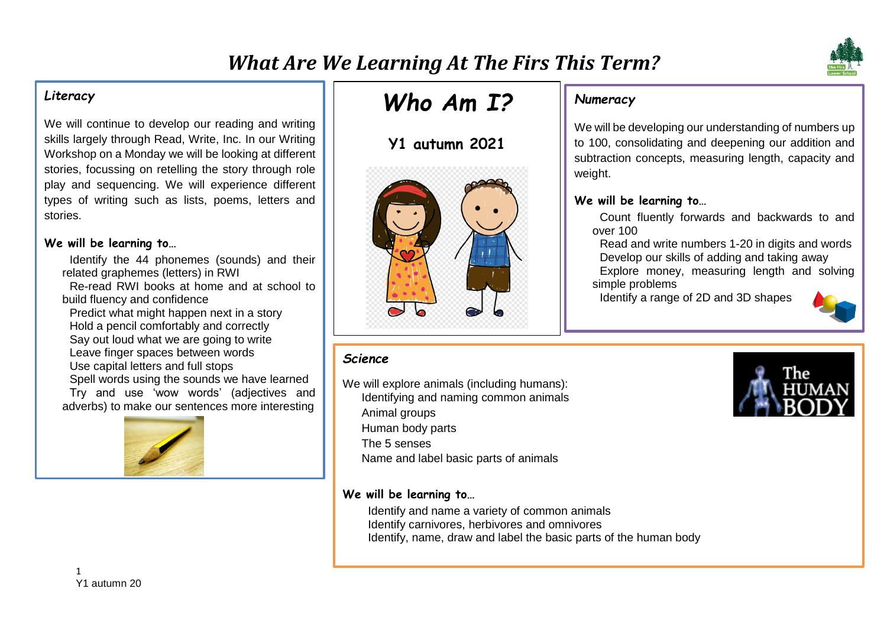

We will continue to develop our reading and writing skills largely through Read, Write, Inc. In our Writing Workshop on a Monday we will be looking at different stories, focussing on retelling the story through role play and sequencing. We will experience different types of writing such as lists, poems, letters and stories.

#### **We will be learning to…**

- Identify the 44 phonemes (sounds) and their related graphemes (letters) in RWI Re-read RWI books at home and at school to
- build fluency and confidence
- Predict what might happen next in a story Hold a pencil comfortably and correctly Say out loud what we are going to write Leave finger spaces between words Use capital letters and full stops Spell words using the sounds we have learned Try and use 'wow words' (adjectives and
- adverbs) to make our sentences more interesting



# *Who Am I?*

# **Y1 autumn 2021**



# *Numeracy*

We will be developing our understanding of numbers up to 100, consolidating and deepening our addition and subtraction concepts, measuring length, capacity and weight.

#### **We will be learning to…**

Count fluently forwards and backwards to and over 100

Read and write numbers 1-20 in digits and words Develop our skills of adding and taking away Explore money, measuring length and solving simple problems

Identify a range of 2D and 3D shapes



# *Science*

We will explore animals (including humans): Identifying and naming common animals

Animal groups

Human body parts

The 5 senses

Name and label basic parts of animals

#### **We will be learning to…**

Identify and name a variety of common animals Identify carnivores, herbivores and omnivores Identify, name, draw and label the basic parts of the human body

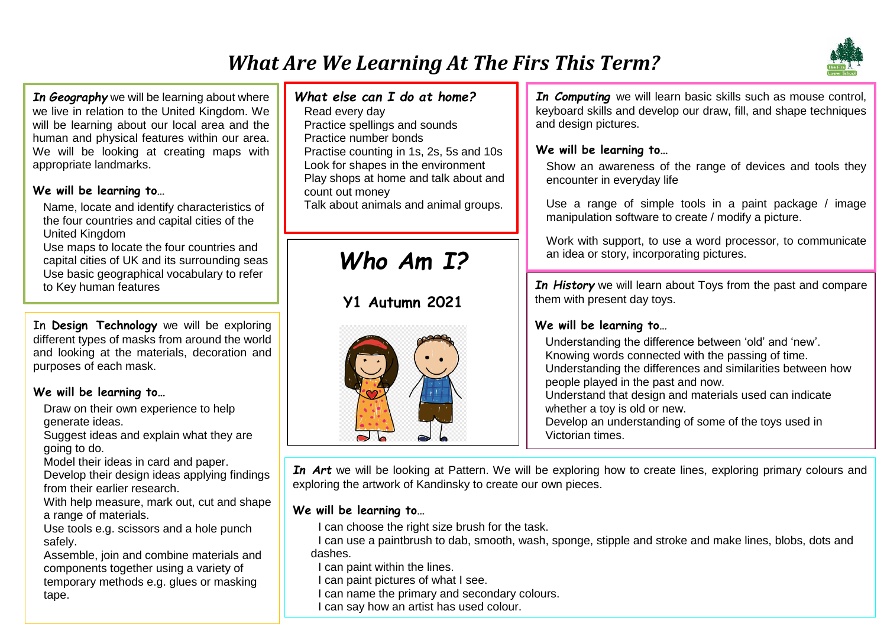# *What Are We Learning At The Firs This Term?*



*In Geography* we will be learning about where we live in relation to the United Kingdom. We will be learning about our local area and the human and physical features within our area. We will be looking at creating maps with appropriate landmarks.

#### **We will be learning to…**

Name, locate and identify characteristics of the four countries and capital cities of the United Kingdom

Use maps to locate the four countries and capital cities of UK and its surrounding seas Use basic geographical vocabulary to refer to Key human features

In **Design Technology** we will be exploring different types of masks from around the world and looking at the materials, decoration and purposes of each mask.

## **We will be learning to…**

Draw on their own experience to help generate ideas.

Suggest ideas and explain what they are going to do.

Model their ideas in card and paper.

Develop their design ideas applying findings from their earlier research.

With help measure, mark out, cut and shape a range of materials.

Use tools e.g. scissors and a hole punch safely.

2 components together using a variety of temporary methods e.g. glues or masking Assemble, join and combine materials and tape.

# *What else can I do at home?*

Read every day Practice spellings and sounds Practice number bonds Practise counting in 1s, 2s, 5s and 10s Look for shapes in the environment Play shops at home and talk about and count out money Talk about animals and animal groups.

# *Who Am I?*

# **Y1 Autumn 2021**



*In Computing* we will learn basic skills such as mouse control, keyboard skills and develop our draw, fill, and shape techniques and design pictures.

# **We will be learning to…**

Show an awareness of the range of devices and tools they encounter in everyday life

Use a range of simple tools in a paint package / image manipulation software to create / modify a picture.

Work with support, to use a word processor, to communicate an idea or story, incorporating pictures.

*In History* we will learn about Toys from the past and compare them with present day toys.

## **We will be learning to…**

Understanding the difference between 'old' and 'new'. Knowing words connected with the passing of time. Understanding the differences and similarities between how people played in the past and now. Understand that design and materials used can indicate whether a toy is old or new. Develop an understanding of some of the toys used in

Victorian times.

*In Art* we will be looking at Pattern. We will be exploring how to create lines, exploring primary colours and exploring the artwork of Kandinsky to create our own pieces.

## **We will be learning to…**

I can choose the right size brush for the task.

I can use a paintbrush to dab, smooth, wash, sponge, stipple and stroke and make lines, blobs, dots and dashes.

I can paint within the lines.

I can paint pictures of what I see.

I can name the primary and secondary colours.

I can say how an artist has used colour.